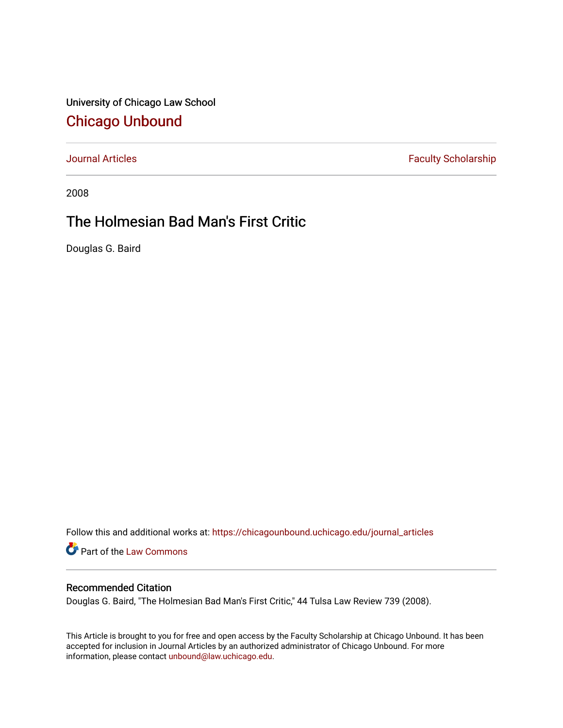University of Chicago Law School [Chicago Unbound](https://chicagounbound.uchicago.edu/)

[Journal Articles](https://chicagounbound.uchicago.edu/journal_articles) **Faculty Scholarship Faculty Scholarship** 

2008

## The Holmesian Bad Man's First Critic

Douglas G. Baird

Follow this and additional works at: [https://chicagounbound.uchicago.edu/journal\\_articles](https://chicagounbound.uchicago.edu/journal_articles?utm_source=chicagounbound.uchicago.edu%2Fjournal_articles%2F1031&utm_medium=PDF&utm_campaign=PDFCoverPages) 

Part of the [Law Commons](http://network.bepress.com/hgg/discipline/578?utm_source=chicagounbound.uchicago.edu%2Fjournal_articles%2F1031&utm_medium=PDF&utm_campaign=PDFCoverPages)

## Recommended Citation

Douglas G. Baird, "The Holmesian Bad Man's First Critic," 44 Tulsa Law Review 739 (2008).

This Article is brought to you for free and open access by the Faculty Scholarship at Chicago Unbound. It has been accepted for inclusion in Journal Articles by an authorized administrator of Chicago Unbound. For more information, please contact [unbound@law.uchicago.edu](mailto:unbound@law.uchicago.edu).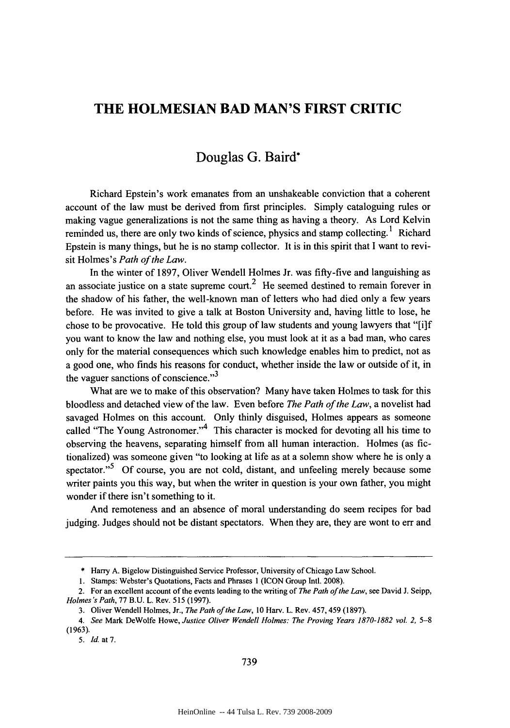## **THE HOLMESIAN BAD MAN'S FIRST CRITIC**

## Douglas **G.** Baird\*

Richard Epstein's work emanates from an unshakeable conviction that a coherent account of the law must be derived from first principles. Simply cataloguing rules or making vague generalizations is not the same thing as having a theory. As Lord Kelvin reminded us, there are only two kinds of science, physics and stamp collecting.<sup>1</sup> Richard Epstein is many things, but he is no stamp collector. It is in this spirit that **I** want to revisit Holmes's *Path of the Law.*

In the winter of **1897,** Oliver Wendell Holmes Jr. was fifty-five and languishing as an associate justice on a state supreme court.<sup>2</sup> He seemed destined to remain forever in the shadow of his father, the well-known man of letters who had died only a few years before. He was invited to give a talk at Boston University and, having little to lose, he chose to be provocative. He told this group of law students and young lawyers that "[i]f you want to know the law and nothing else, you must look at it as a bad man, who cares only for the material consequences which such knowledge enables him to predict, not as a good one, who finds his reasons for conduct, whether inside the law or outside of it, in the vaguer sanctions of conscience. $"$ <sup>3</sup>

What are we to make of this observation? Many have taken Holmes to task for this bloodless and detached view of the law. Even before *The Path of the Law,* a novelist had savaged Holmes on this account. Only thinly disguised, Holmes appears as someone called "The Young Astronomer." <sup>4</sup> This character is mocked for devoting all his time to observing the heavens, separating himself from all human interaction. Holmes (as fictionalized) was someone given "to looking at life as at a solemn show where he is only a spectator. $5^5$  Of course, you are not cold, distant, and unfeeling merely because some writer paints you this way, but when the writer in question is your own father, you might wonder if there isn't something to it.

And remoteness and an absence of moral understanding do seem recipes for bad judging. Judges should not be distant spectators. When they are, they are wont to err and

5. *Id.* at 7.

<sup>\*</sup> Harry A. Bigelow Distinguished Service Professor, University of Chicago Law School.

<sup>1.</sup> Stamps: Webster's Quotations, Facts and Phrases 1 (ICON Group Intl. 2008).

<sup>2.</sup> For an excellent account of the events leading to the writing of *The Path of the Law,* see David J. Seipp, *Holmes's Path,* 77 B.U. L. Rev. 515 (1997).

<sup>3.</sup> Oliver Wendell Holmes, Jr., *The Path of the Law,* 10 Harv. L. Rev. 457, 459 (1897).

*<sup>4.</sup> See* Mark DeWolfe Howe, *Justice Oliver Wendell Holmes: The Proving Years 1870-1882 vol.* 2, **5-8** (1963).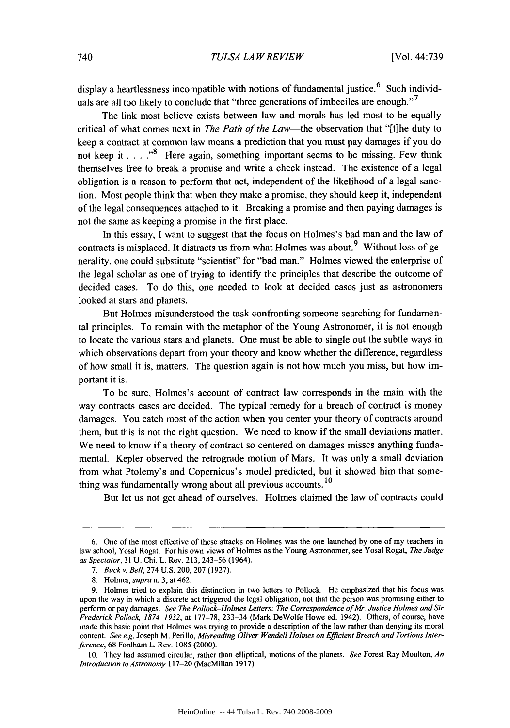display a heartlessness incompatible with notions of fundamental justice.<sup>6</sup> Such individuals are all too likely to conclude that "three generations of imbeciles are enough."<sup>7</sup>

The link most believe exists between law and morals has led most to be equally critical of what comes next in *The Path of the* Law-the observation that "[tihe duty to keep a contract at common law means a prediction that you must pay damages if you do not keep it **.... "8** Here again, something important seems to be missing. Few think themselves free to break a promise and write a check instead. The existence of a legal obligation is a reason to perform that act, independent of the likelihood of a legal sanction. Most people think that when they make a promise, they should keep it, independent of the legal consequences attached to it. Breaking a promise and then paying damages is not the same as keeping a promise in the first place.

In this essay, **I** want to suggest that the focus on Holmes's bad man and the law of contracts is misplaced. It distracts us from what Holmes was about.<sup>9</sup> Without loss of generality, one could substitute "scientist" for "bad man." Holmes viewed the enterprise of the legal scholar as one of trying to identify the principles that describe the outcome of decided cases. To do this, one needed to look at decided cases just as astronomers looked at stars and planets.

But Holmes misunderstood the task confronting someone searching for fundamental principles. To remain with the metaphor of the Young Astronomer, it is not enough to locate the various stars and planets. One must be able to single out the subtle ways in which observations depart from your theory and know whether the difference, regardless of how small it is, matters. The question again is not how much you miss, but how important it is.

To be sure, Holmes's account of contract law corresponds in the main with the way contracts cases are decided. The typical remedy for a breach of contract is money damages. You catch most of the action when you center your theory of contracts around them, but this is not the right question. We need to know if the small deviations matter. We need to know if a theory of contract so centered on damages misses anything fundamental. Kepler observed the retrograde motion of Mars. It was only a small deviation from what Ptolemy's and Copernicus's model predicted, but it showed him that something was fundamentally wrong about all previous accounts. **<sup>10</sup>**

But let us not get ahead of ourselves. Holmes claimed the law of contracts could

**<sup>6.</sup>** One of the most effective of these attacks on Holmes was the one launched **by** one of my teachers in law school, Yosal Rogat. For his own views of Holmes as the Young Astronomer, see Yosal Rogat, *The Judge as Spectator,* **31 U.** Chi. L. Rev. **213, 243-56** (1964).

*<sup>7.</sup> Buckv. Bell,* 274 **U.S.** 200, **207 (1927).**

**<sup>8.</sup>** Holmes, *supra* n. **3,** at 462.

**<sup>9.</sup>** Holmes tried to explain this distinction in two letters to Pollock. He emphasized that his focus was upon the way in which a discrete act triggered the legal obligation, not that the person was promising either to perform or pay damages. *See The Pollock-Holmes Letters: The Correspondence of Mr. Justice Holmes and Sir Frederick Pollock 1874-1932,* at **177-78,** 233-34 (Mark DeWolfe Howe ed. 1942). Others, of course, have made this basic point that Holmes was trying to provide a description of the law rather than denying its moral content. *See e.g.* Joseph M. Perillo, *Misreading Oliver Wendell Holmes on Efficient Breach and Tortious Interference,* **68** Fordham L. Rev. **1085** (2000).

**<sup>10.</sup>** They had assumed circular, rather than elliptical, motions of the planets. *See* Forest Ray Moulton, *An Introduction to Astronomy* **117-20** (MacMillan **1917).**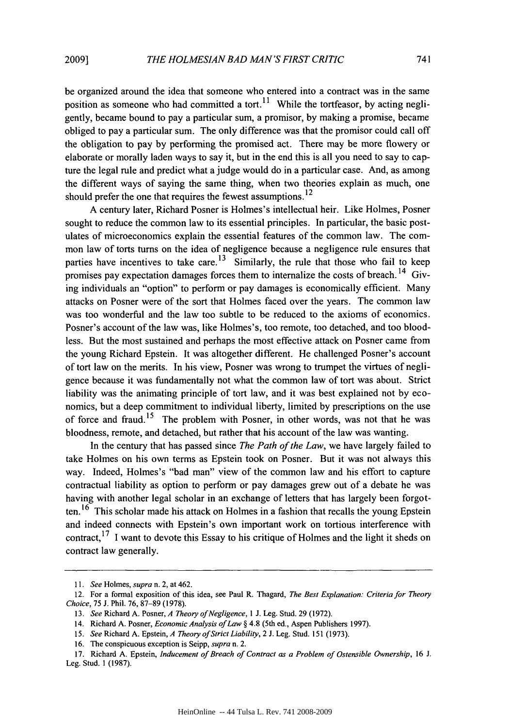be organized around the idea that someone who entered into a contract was in the same position as someone who had committed a tort.<sup>11</sup> While the tortfeasor, by acting negligently, became bound to pay a particular sum, a promisor, by making a promise, became obliged to pay a particular sum. The only difference was that the promisor could call off the obligation to pay by performing the promised act. There may be more flowery or elaborate or morally laden ways to say it, but in the end this is all you need to say to capture the legal rule and predict what a judge would do in a particular case. And, as among the different ways of saying the same thing, when two theories explain as much, one should prefer the one that requires the fewest assumptions. $^{12}$ 

A century later, Richard Posner is Holmes's intellectual heir. Like Holmes, Posner sought to reduce the common law to its essential principles. In particular, the basic postulates of microeconomics explain the essential features of the common law. The common law of torts turns on the idea of negligence because a negligence rule ensures that parties have incentives to take care.<sup>13</sup> Similarly, the rule that those who fail to keep promises pay expectation damages forces them to internalize the costs of breach.<sup>14</sup> Giving individuals an "option" to perform or pay damages is economically efficient. Many attacks on Posner were of the sort that Holmes faced over the years. The common law was too wonderful and the law too subtle to be reduced to the axioms of economics. Posner's account of the law was, like Holmes's, too remote, too detached, and too bloodless. But the most sustained and perhaps the most effective attack on Posner came from the young Richard Epstein. It was altogether different. He challenged Posner's account of tort law on the merits. In his view, Posner was wrong to trumpet the virtues of negligence because it was fundamentally not what the common law of tort was about. Strict liability was the animating principle of tort law, and it was best explained not by economics, but a deep commitment to individual liberty, limited by prescriptions on the use of force and fraud.<sup>15</sup> The problem with Posner, in other words, was not that he was bloodness, remote, and detached, but rather that his account of the law was wanting.

In the century that has passed since *The Path of the Law,* we have largely failed to take Holmes on his own terms as Epstein took on Posner. But it was not always this way. Indeed, Holmes's "bad man" view of the common law and his effort to capture contractual liability as option to perform or pay damages grew out of a debate he was having with another legal scholar in an exchange of letters that has largely been forgotten. **16** This scholar made his attack on Holmes in a fashion that recalls the young Epstein and indeed connects with Epstein's own important work on tortious interference with contract,  $17$  I want to devote this Essay to his critique of Holmes and the light it sheds on contract law generally.

*<sup>11.</sup> See* Holmes, *supra* n. 2, at 462.

<sup>12.</sup> For a formal exposition of this idea, see Paul R. Thagard, *The Best Explanation: Criteria for Theory Choice,* 75 J. Phil. 76, 87-89 (1978).

<sup>13.</sup> *See* Richard A. Posner, *A Theory of Negligence, I* J. Leg. Stud. 29 (1972).

<sup>14.</sup> Richard A. Posner, *Economic Analysis of Law §* 4.8 (5th ed., Aspen Publishers 1997).

*<sup>15.</sup> See* Richard A. Epstein, *A Theory of Strict Liability,* 2 J. Leg. Stud. 151 (1973).

<sup>16.</sup> The conspicuous exception is Seipp, *supra* n. 2.

<sup>17.</sup> Richard A. Epstein, *Inducement of Breach of Contract as a Problem of Ostensible Ownership,* 16 J. Leg. Stud. 1 (1987).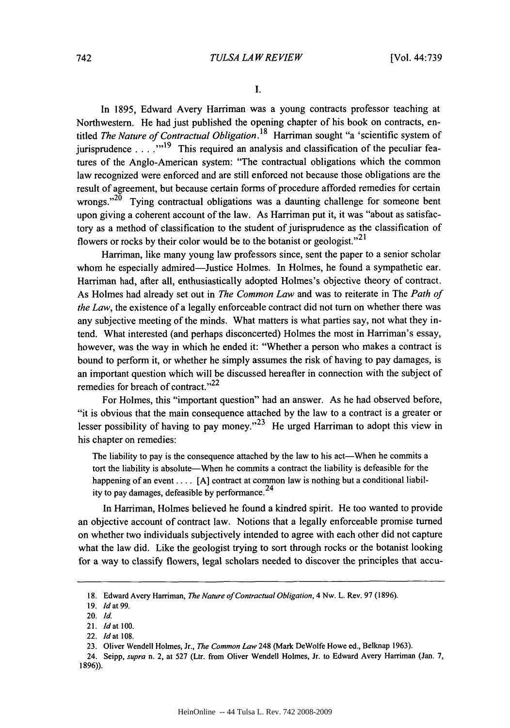**I.**

In 1895, Edward Avery Harriman was a young contracts professor teaching at Northwestern. He had just published the opening chapter of his book on contracts, entitled *The Nature of Contractual* Obligation. **18** Harriman sought "a 'scientific system of jurisprudence . . .<sup>"</sup>"<sup>19</sup> This required an analysis and classification of the peculiar features of the Anglo-American system: "The contractual obligations which the common law recognized were enforced and are still enforced not because those obligations are the result of agreement, but because certain forms of procedure afforded remedies for certain wrongs."<sup>20</sup> Tying contractual obligations was a daunting challenge for someone bent upon giving a coherent account of the law. As Harriman put it, it was "about as satisfactory as a method of classification to the student of jurisprudence as the classification of flowers or rocks by their color would be to the botanist or geologist."<sup>21</sup>

Harriman, like many young law professors since, sent the paper to a senior scholar whom he especially admired—Justice Holmes. In Holmes, he found a sympathetic ear. Harriman had, after all, enthusiastically adopted Holmes's objective theory of contract. As Holmes had already set out in *The Common Law* and was to reiterate in The *Path of the Law,* the existence of a legally enforceable contract did not turn on whether there was any subjective meeting of the minds. What matters is what parties say, not what they intend. What interested (and perhaps disconcerted) Holmes the most in Harriman's essay, however, was the way in which he ended it: "Whether a person who makes a contract is bound to perform it, or whether he simply assumes the risk of having to pay damages, is an important question which will be discussed hereafter in connection with the subject of remedies for breach of contract."<sup>22</sup>

For Holmes, this "important question" had an answer. As he had observed before, "it is obvious that the main consequence attached by the law to a contract is a greater or lesser possibility of having to pay money."<sup>23</sup> He urged Harriman to adopt this view in his chapter on remedies:

The liability to pay is the consequence attached by the law to his act—When he commits a tort the liability is absolute-When he commits a contract the liability is defeasible for the happening of an event . . . [A] contract at common law is nothing but a conditional liability to pay damages, defeasible by performance.<sup>24</sup>

In Harriman, Holmes believed he found a kindred spirit. He too wanted to provide an objective account of contract law. Notions that a legally enforceable promise turned on whether two individuals subjectively intended to agree with each other did not capture what the law did. Like the geologist trying to sort through rocks or the botanist looking for a way to classify flowers, legal scholars needed to discover the principles that accu-

<sup>18.</sup> Edward Avery Harriman, *The Nature of Contractual Obligation,* 4 Nw. L. Rev. 97 (1896).

<sup>19.</sup> Id at 99.

<sup>20.</sup> **Id.**

<sup>21.</sup> **Id** at 100.

<sup>22.</sup> **Idat** 108.

<sup>23.</sup> Oliver Wendell Holmes, Jr., The *Common Law* 248 (Mark DeWolfe Howe ed., Belknap 1963).

<sup>24.</sup> Seipp, *supra* n. 2, at 527 (Ltr. from Oliver Wendell Holmes, Jr. to Edward Avery Harriman (Jan. 7, 1896)).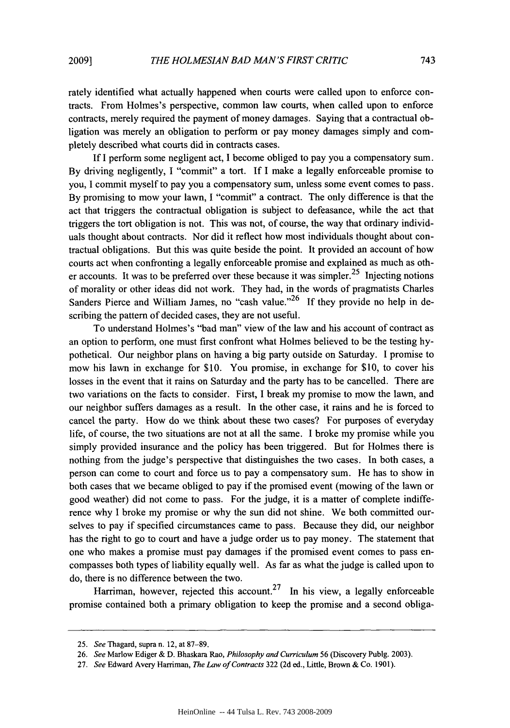rately identified what actually happened when courts were called upon to enforce contracts. From Holmes's perspective, common law courts, when called upon to enforce contracts, merely required the payment of money damages. Saying that a contractual obligation was merely an obligation to perform or pay money damages simply and completely described what courts did in contracts cases.

If I perform some negligent act, I become obliged to pay you a compensatory sum. By driving negligently, I "commit" a tort. If I make a legally enforceable promise to you, I commit myself to pay you a compensatory sum, unless some event comes to pass. By promising to mow your lawn, I "commit" a contract. The only difference is that the act that triggers the contractual obligation is subject to defeasance, while the act that triggers the tort obligation is not. This was not, of course, the way that ordinary individuals thought about contracts. Nor did it reflect how most individuals thought about contractual obligations. But this was quite beside the point. It provided an account of how courts act when confronting a legally enforceable promise and explained as much as other accounts. It was to be preferred over these because it was simpler.<sup>25</sup> Injecting notions of morality or other ideas did not work. They had, in the words of pragmatists Charles Sanders Pierce and William James, no "cash value."<sup>26</sup> If they provide no help in describing the pattern of decided cases, they are not useful.

To understand Holmes's "bad man" view of the law and his account of contract as an option to perform, one must first confront what Holmes believed to be the testing hypothetical. Our neighbor plans on having a big party outside on Saturday. I promise to mow his lawn in exchange for \$10. You promise, in exchange for \$10, to cover his losses in the event that it rains on Saturday and the party has to be cancelled. There are two variations on the facts to consider. First, I break my promise to mow the lawn, and our neighbor suffers damages as a result. In the other case, it rains and he is forced to cancel the party. How do we think about these two cases? For purposes of everyday life, of course, the two situations are not at all the same. I broke my promise while you simply provided insurance and the policy has been triggered. But for Holmes there is nothing from the judge's perspective that distinguishes the two cases. In both cases, a person can come to court and force us to pay a compensatory sum. He has to show in both cases that we became obliged to pay if the promised event (mowing of the lawn or good weather) did not come to pass. For the judge, it is a matter of complete indifference why I broke my promise or why the sun did not shine. We both committed ourselves to pay if specified circumstances came to pass. Because they did, our neighbor has the right to go to court and have a judge order us to pay money. The statement that one who makes a promise must pay damages if the promised event comes to pass encompasses both types of liability equally well. As far as what the judge is called upon to do, there is no difference between the two.

Harriman, however, rejected this account.<sup>27</sup> In his view, a legally enforceable promise contained both a primary obligation to keep the promise and a second obliga-

<sup>25.</sup> *See* Thagard, supra n. 12, at 87-89.

<sup>26.</sup> *See* Marlow Ediger & D. Bhaskara Rao, *Philosophy and Curriculum* 56 (Discovery Publg. 2003).

<sup>27.</sup> *See* Edward Avery Harriman, *The Law of Contracts* 322 (2d ed., Little, Brown & Co. 1901).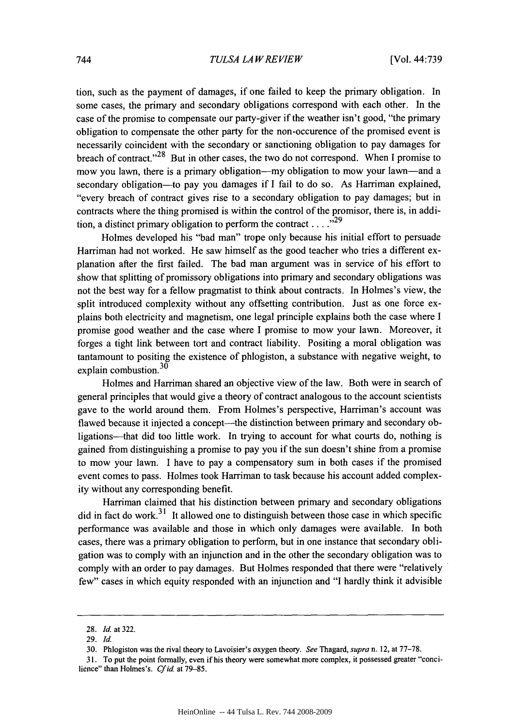tion, such as the payment of damages, if one failed to keep the primary obligation. In some cases, the primary and secondary obligations correspond with each other. In the case of the promise to compensate our party-giver if the weather isn't good, "the primary obligation to compensate the other party for the non-occurence of the promised event is necessarily coincident with the secondary or sanctioning obligation to pay damages for breach of contract.<sup> $28$ </sup> But in other cases, the two do not correspond. When I promise to mow you lawn, there is a primary obligation—my obligation to mow your lawn—and a secondary obligation—to pay you damages if I fail to do so. As Harriman explained, "every breach of contract gives rise to a secondary obligation to pay damages; but in contracts where the thing promised is within the control of the promisor, there is, in addition, a distinct primary obligation to perform the contract **...."29**

Holmes developed his "bad man" trope only because his initial effort to persuade Harriman had not worked. He saw himself as the good teacher who tries a different explanation after the first failed. The bad man argument was in service of his effort to show that splitting of promissory obligations into primary and secondary obligations was not the best way for a fellow pragmatist to think about contracts. In Holmes's view, the split introduced complexity without any offsetting contribution. Just as one force explains both electricity and magnetism, one legal principle explains both the case where I promise good weather and the case where I promise to mow your lawn. Moreover, it forges a tight link between tort and contract liability. Positing a moral obligation was tantamount to positing the existence of phlogiston, a substance with negative weight, to explain combustion.<sup>30</sup>

Holmes and Harriman shared an objective view of the law. Both were in search of general principles that would give a theory of contract analogous to the account scientists gave to the world around them. From Holmes's perspective, Harriman's account was flawed because it injected a concept—the distinction between primary and secondary obligations-that did too little work. In trying to account for what courts do, nothing is gained from distinguishing a promise to pay you if the sun doesn't shine from a promise to mow your lawn. I have to pay a compensatory sum in both cases if the promised event comes to pass. Holmes took Harriman to task because his account added complexity without any corresponding benefit.

Harriman claimed that his distinction between primary and secondary obligations did in fact do work.<sup>31</sup> It allowed one to distinguish between those case in which specific performance was available and those in which only damages were available. In both cases, there was a primary obligation to perform, but in one instance that secondary obligation was to comply with an injunction and in the other the secondary obligation was to comply with an order to pay damages. But Holmes responded that there were "relatively few" cases in which equity responded with an injunction and "I hardly think it advisible

<sup>28.</sup> **Id.** at 322.

<sup>29.</sup> Id.

**<sup>30.</sup>** Phlogiston was the rival theory to Lavoisier's oxygen theory. *See* Thagard, *supra* n. 12, at 77-78.

<sup>31.</sup> To put the point formally, even if his theory were somewhat more complex, it possessed greater "concilience" than Holmes's. *Cf* id. at 79-85.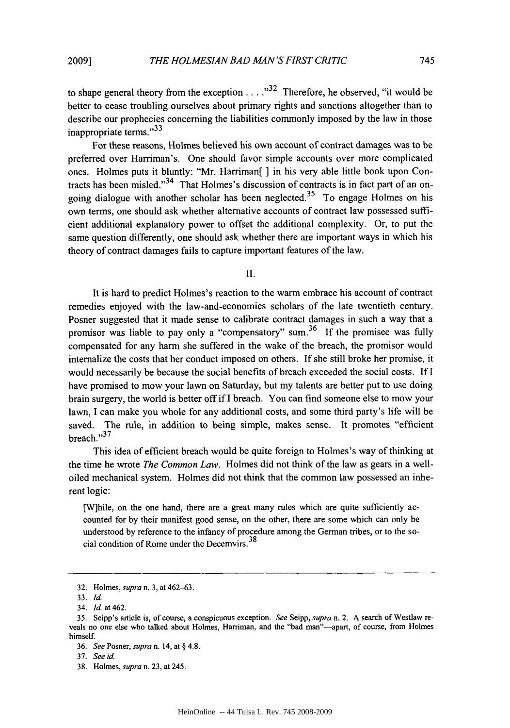to shape general theory from the exception  $\dots$   $32$  Therefore, he observed, "it would be better to cease troubling ourselves about primary rights and sanctions altogether than to describe our prophecies concerning the liabilities commonly imposed by the law in those inappropriate terms."<sup>33</sup>

For these reasons, Holmes believed his own account of contract damages was to be preferred over Harriman's. One should favor simple accounts over more complicated ones. Holmes puts it bluntly: "Mr. Harriman[ ] in his very able little book upon Contracts has been misled."<sup>34</sup> That Holmes's discussion of contracts is in fact part of an ongoing dialogue with another scholar has been neglected.<sup>35</sup> To engage Holmes on his own terms, one should ask whether alternative accounts of contract law possessed sufficient additional explanatory power to offset the additional complexity. Or, to put the same question differently, one should ask whether there are important ways in which his theory of contract damages fails to capture important features of the law.

II.

It is hard to predict Holmes's reaction to the warm embrace his account of contract remedies enjoyed with the law-and-economics scholars of the late twentieth century. Posner suggested that it made sense to calibrate contract damages in such a way that a promisor was liable to pay only a "compensatory" sum.<sup>36</sup> If the promisee was fully compensated for any harm she suffered in the wake of the breach, the promisor would internalize the costs that her conduct imposed on others. If she still broke her promise, it would necessarily be because the social benefits of breach exceeded the social costs. If I have promised to mow your lawn on Saturday, but my talents are better put to use doing brain surgery, the world is better off if I breach. You can find someone else to mow your lawn, I can make you whole for any additional costs, and some third party's life will be saved. The rule, in addition to being simple, makes sense. It promotes "efficient  $break$ ."<sup>37</sup>

This idea of efficient breach would be quite foreign to Holmes's way of thinking at the time he wrote *The Common Law.* Holmes did not think of the law as gears in a welloiled mechanical system. Holmes did not think that the common law possessed an inherent logic:

[W]hile, on the one hand, there are a great many rules which are quite sufficiently accounted for by their manifest good sense, on the other, there are some which can only be understood by reference to the infancy of procedure among the German tribes, or to the social condition of Rome under the Decemvirs.<sup>38</sup>

<sup>32.</sup> Holmes, *supra* n. 3, at 462-63.

<sup>33.</sup> *Id.*

<sup>34.</sup> Id. at 462.

*<sup>35.</sup>* Seipp's article is, of course, a conspicuous exception. *See* Seipp, *supra* n. 2. A search of Westlaw reveals no one else who talked about Holmes, Harriman, and the "bad man"-apart, of course, from Holmes himself.

<sup>36.</sup> *See* Posner, *supra* n. 14, at § 4.8.

<sup>37.</sup> *See id.*

<sup>38.</sup> Holmes, *supra* n. 23, at 245.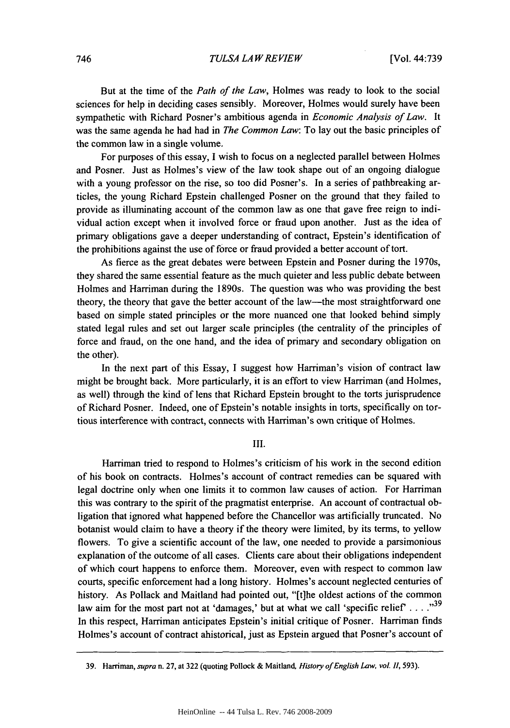But at the time of the *Path of the Law,* Holmes was ready to look to the social sciences for help in deciding cases sensibly. Moreover, Holmes would surely have been sympathetic with Richard Posner's ambitious agenda in *Economic Analysis of Law.* It was the same agenda he had had in *The Common Law:* To lay out the basic principles of the common law in a single volume.

For purposes of this essay, I wish to focus on a neglected parallel between Holmes and Posner. Just as Holmes's view of the law took shape out of an ongoing dialogue with a young professor on the rise, so too did Posner's. In a series of pathbreaking articles, the young Richard Epstein challenged Posner on the ground that they failed to provide as illuminating account of the common law as one that gave free reign to individual action except when it involved force or fraud upon another. Just as the idea of primary obligations gave a deeper understanding of contract, Epstein's identification of the prohibitions against the use of force or fraud provided a better account of tort.

As fierce as the great debates were between Epstein and Posner during the 1970s, they shared the same essential feature as the much quieter and less public debate between Holmes and Harriman during the 1890s. The question was who was providing the best theory, the theory that gave the better account of the law—the most straightforward one based on simple stated principles or the more nuanced one that looked behind simply stated legal rules and set out larger scale principles (the centrality of the principles of force and fraud, on the one hand, and the idea of primary and secondary obligation on the other).

In the next part of this Essay, I suggest how Harriman's vision of contract law might be brought back. More particularly, it is an effort to view Harriman (and Holmes, as well) through the kind of lens that Richard Epstein brought to the torts jurisprudence of Richard Posner. Indeed, one of Epstein's notable insights in torts, specifically on tortious interference with contract, connects with Harriman's own critique of Holmes.

**Ill.**

Harriman tried to respond to Holmes's criticism of his work in the second edition of his book on contracts. Holmes's account of contract remedies can be squared with legal doctrine only when one limits it to common law causes of action. For Harriman this was contrary to the spirit of the pragmatist enterprise. An account of contractual obligation that ignored what happened before the Chancellor was artificially truncated. No botanist would claim to have a theory if the theory were limited, by its terms, to yellow flowers. To give a scientific account of the law, one needed to provide a parsimonious explanation of the outcome of all cases. Clients care about their obligations independent of which court happens to enforce them. Moreover, even with respect to common law courts, specific enforcement had a long history. Holmes's account neglected centuries of history. As Pollack and Maitland had pointed out, "[t]he oldest actions of the common law aim for the most part not at 'damages,' but at what we call 'specific relief' . . . .<sup>39</sup> In this respect, Harriman anticipates Epstein's initial critique of Posner. Harriman finds Holmes's account of contract ahistorical, just as Epstein argued that Posner's account of

<sup>39.</sup> Harriman, *supra* n. 27, at 322 (quoting Pollock & Maitland, *History of English Law, vol.* 11, 593).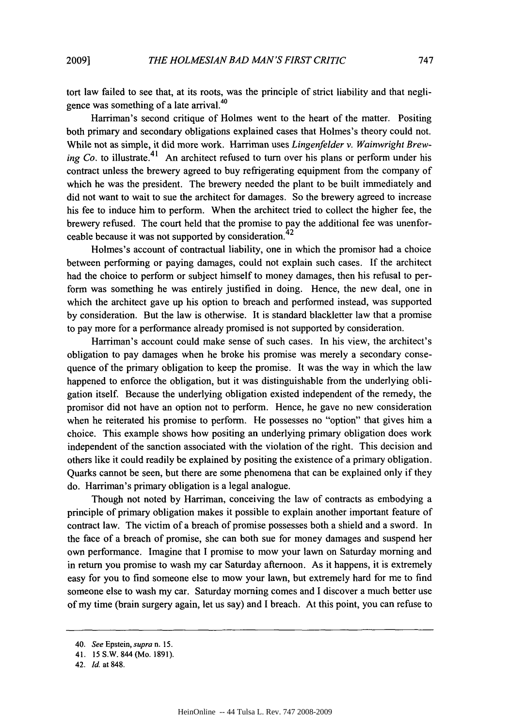tort law failed to see that, at its roots, was the principle of strict liability and that negligence was something of a late arrival.<sup>40</sup>

Harriman's second critique of Holmes went to the heart of the matter. Positing both primary and secondary obligations explained cases that Holmes's theory could not. While not as simple, it did more work. Harriman uses *Lingenfelder v. Wainwright Brewing Co.* to illustrate.<sup>41</sup> An architect refused to turn over his plans or perform under his contract unless the brewery agreed to buy refrigerating equipment from the company of which he was the president. The brewery needed the plant to be built immediately and did not want to wait to sue the architect for damages. So the brewery agreed to increase his fee to induce him to perform. When the architect tried to collect the higher fee, the brewery refused. The court held that the promise to pay the additional fee was unenforceable because it was not supported by consideration.<sup>42</sup>

Holmes's account of contractual liability, one in which the promisor had a choice between performing or paying damages, could not explain such cases. If the architect had the choice to perform or subject himself to money damages, then his refusal to perform was something he was entirely justified in doing. Hence, the new deal, one in which the architect gave up his option to breach and performed instead, was supported by consideration. But the law is otherwise. It is standard blackletter law that a promise to pay more for a performance already promised is not supported by consideration.

Harriman's account could make sense of such cases. In his view, the architect's obligation to pay damages when he broke his promise was merely a secondary consequence of the primary obligation to keep the promise. It was the way in which the law happened to enforce the obligation, but it was distinguishable from the underlying obligation itself. Because the underlying obligation existed independent of the remedy, the promisor did not have an option not to perform. Hence, he gave no new consideration when he reiterated his promise to perform. He possesses no "option" that gives him a choice. This example shows how positing an underlying primary obligation does work independent of the sanction associated with the violation of the right. This decision and others like it could readily be explained by positing the existence of a primary obligation. Quarks cannot be seen, but there are some phenomena that can be explained only if they do. Harriman's primary obligation is a legal analogue.

Though not noted by Harriman, conceiving the law of contracts as embodying a principle of primary obligation makes it possible to explain another important feature of contract law. The victim of a breach of promise possesses both a shield and a sword. In the face of a breach of promise, she can both sue for money damages and suspend her own performance. Imagine that I promise to mow your lawn on Saturday morning and in return you promise to wash my car Saturday afternoon. As it happens, it is extremely easy for you to find someone else to mow your lawn, but extremely hard for me to find someone else to wash my car. Saturday morning comes and I discover a much better use of my time (brain surgery again, let us say) and I breach. At this point, you can refuse to

<sup>40.</sup> *See* Epstein, *supra* n. 15.

<sup>41. 15</sup> S.W. 844 (Mo. 1891).

<sup>42.</sup> *Id.* at 848.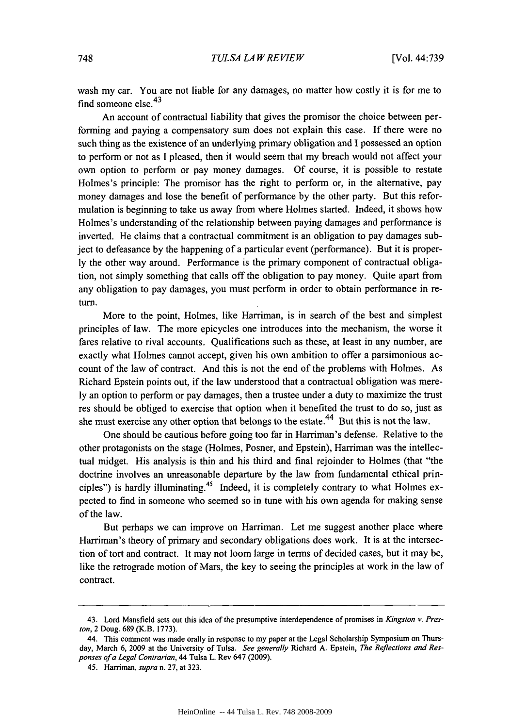wash my car. You are not liable for any damages, no matter how costly it is for me to find someone else. <sup>43</sup>

An account of contractual liability that gives the promisor the choice between performing and paying a compensatory sum does not explain this case. If there were no such thing as the existence of an underlying primary obligation and I possessed an option to perform or not as I pleased, then it would seem that my breach would not affect your own option to perform or pay money damages. Of course, it is possible to restate Holmes's principle: The promisor has the right to perform or, in the alternative, pay money damages and lose the benefit of performance by the other party. But this reformulation is beginning to take us away from where Holmes started. Indeed, it shows how Holmes's understanding of the relationship between paying damages and performance is inverted. He claims that a contractual commitment is an obligation to pay damages subject to defeasance by the happening of a particular event (performance). But it is properly the other way around. Performance is the primary component of contractual obligation, not simply something that calls off the obligation to pay money. Quite apart from any obligation to pay damages, you must perform in order to obtain performance in return.

More to the point, Holmes, like Harriman, is in search of the best and simplest principles of law. The more epicycles one introduces into the mechanism, the worse it fares relative to rival accounts. Qualifications such as these, at least in any number, are exactly what Holmes cannot accept, given his own ambition to offer a parsimonious account of the law of contract. And this is not the end of the problems with Holmes. As Richard Epstein points out, if the law understood that a contractual obligation was merely an option to perform or pay damages, then a trustee under a duty to maximize the trust res should be obliged to exercise that option when it benefited the trust to do so, just as she must exercise any other option that belongs to the estate.  $44$  But this is not the law.

One should be cautious before going too far in Harriman's defense. Relative to the other protagonists on the stage (Holmes, Posner, and Epstein), Harriman was the intellectual midget. His analysis is thin and his third and final rejoinder to Holmes (that "the doctrine involves an unreasonable departure by the law from fundamental ethical principles") is hardly illuminating.<sup>45</sup> Indeed, it is completely contrary to what Holmes expected to find in someone who seemed so in tune with his own agenda for making sense of the law.

But perhaps we can improve on Harriman. Let me suggest another place where Harriman's theory of primary and secondary obligations does work. It is at the intersection of tort and contract. It may not loom large in terms of decided cases, but it may be, like the retrograde motion of Mars, the key to seeing the principles at work in the law of contract.

<sup>43.</sup> Lord Mansfield sets out this idea of the presumptive interdependence of promises in *Kingston v. Preston,* 2 Doug. 689 (K.B. 1773).

<sup>44.</sup> This comment was made orally in response to my paper at the Legal Scholarship Symposium on Thursday, March 6, 2009 at the University of Tulsa. *See generally* Richard A. Epstein, *The Reflections and Responses of a Legal Contrarian,* 44 Tulsa L. Rev 647 (2009).

<sup>45.</sup> Harriman, *supra* n. 27, at 323.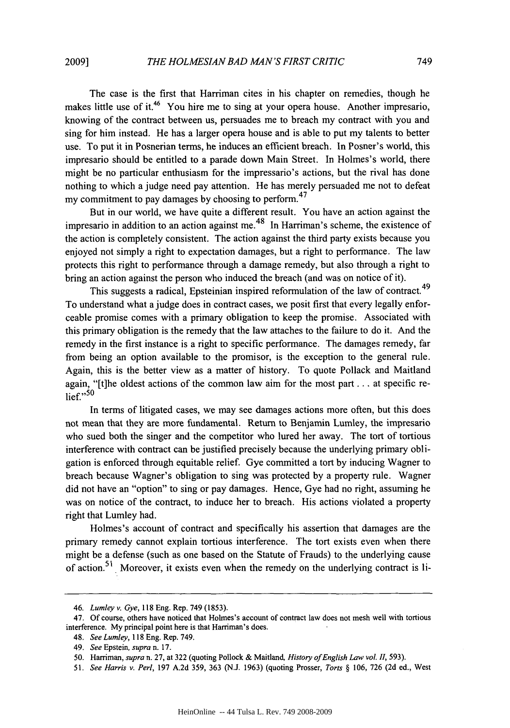The case is the first that Harriman cites in his chapter on remedies, though he makes little use of it.<sup>46</sup> You hire me to sing at your opera house. Another impresario, knowing of the contract between us, persuades me to breach my contract with you and sing for him instead. He has a larger opera house and is able to put my talents to better use. To put it in Posnerian terms, he induces an efficient breach. In Posner's world, this impresario should be entitled to a parade down Main Street. In Holmes's world, there might be no particular enthusiasm for the impressario's actions, but the rival has done nothing to which a judge need pay attention. He has merely persuaded me not to defeat my commitment to pay damages by choosing to perform.  $47$ 

But in our world, we have quite a different result. You have an action against the impresario in addition to an action against me.<sup>48</sup> In Harriman's scheme, the existence of the action is completely consistent. The action against the third party exists because you enjoyed not simply a right to expectation damages, but a right to performance. The law protects this right to performance through a damage remedy, but also through a right to bring an action against the person who induced the breach (and was on notice of it).

This suggests a radical, Epsteinian inspired reformulation of the law of contract.<sup>49</sup> To understand what a judge does in contract cases, we posit first that every legally enforceable promise comes with a primary obligation to keep the promise. Associated with this primary obligation is the remedy that the law attaches to the failure to do it. And the remedy in the first instance is a right to specific performance. The damages remedy, far from being an option available to the promisor, is the exception to the general rule. Again, this is the better view as a matter of history. To quote Pollack and Maitland again, "[t]he oldest actions of the common law aim for the most part... at specific re- $\mathsf{lief.}^{55}$ 

In terms of litigated cases, we may see damages actions more often, but this does not mean that they are more fundamental. Return to Benjamin Lumley, the impresario who sued both the singer and the competitor who lured her away. The tort of tortious interference with contract can be justified precisely because the underlying primary obligation is enforced through equitable relief. Gye committed a tort by inducing Wagner to breach because Wagner's obligation to sing was protected by a property rule. Wagner did not have an "option" to sing or pay damages. Hence, Gye had no right, assuming he was on notice of the contract, to induce her to breach. His actions violated a property right that Lumley had.

Holmes's account of contract and specifically his assertion that damages are the primary remedy cannot explain tortious interference. The tort exists even when there might be a defense (such as one based on the Statute of Frauds) to the underlying cause of action.<sup>51</sup> Moreover, it exists even when the remedy on the underlying contract is li-

<sup>46.</sup> *Lumley v. Gye,* 118 Eng. Rep. 749 (1853).

<sup>47.</sup> Of course, others have noticed that Holmes's account of contract law does not mesh well with tortious interference. My principal point here is that Harriman's does.

<sup>48.</sup> *See Lumley,* 118 Eng. Rep. 749.

<sup>49.</sup> *See* Epstein, *supra* n. 17.

<sup>50.</sup> Harriman, *supra* n. 27, at 322 (quoting Pollock & Maitland, *History of English Law vol. II,* 593).

<sup>51.</sup> *See Harris v. Perl,* 197 A.2d 359, 363 (N.J. 1963) (quoting Prosser, *Torts §* 106, 726 (2d ed., West